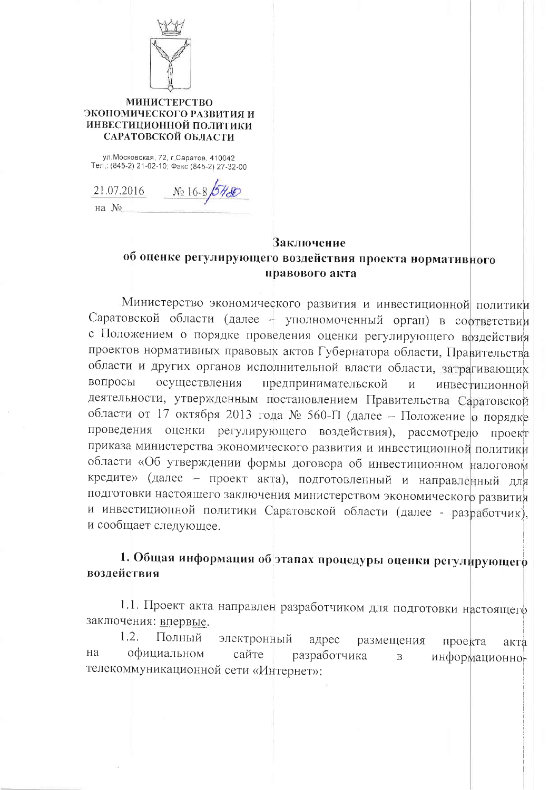

#### **МИНИСТЕРСТВО** ЭКОНОМИЧЕСКОГО РАЗВИТИЯ И ИНВЕСТИЦИОННОЙ ПОЛИТИКИ САРАТОВСКОЙ ОБЛАСТИ

ул. Московская, 72, г. Саратов, 410042 Тел.: (845-2) 21-02-10; Факс (845-2) 27-32-00

21.07.2016 No 16-8 64-80 на №

### **Заключение**

# об оценке регулирующего воздействия проекта нормативного правового акта

Министерство экономического развития и инвестиционной политики Саратовской области (далее - уполномоченный орган) в соответствии с Положением о порядке проведения оценки регулирующего воздействия проектов нормативных правовых актов Губернатора области, Правительства области и других органов исполнительной власти области, затрагивающих вопросы осуществления предпринимательской  $\overline{M}$ инвестиционной деятельности, утвержденным постановлением Правительства Саратовской области от 17 октября 2013 года № 560-П (далее - Положение о порядке проведения оценки регулирующего воздействия), рассмотрело проект приказа министерства экономического развития и инвестиционной политики области «Об утверждении формы договора об инвестиционном налоговом кредите» (далее - проект акта), подготовленный и направленный для подготовки настоящего заключения министерством экономического развития и инвестиционной политики Саратовской области (далее - разработчик), и сообщает следующее.

## 1. Общая информация об этапах процедуры оценки регулирующего воздействия

1.1. Проект акта направлен разработчиком для подготовки настоящего заключения: впервые.

 $1.2.$ Полный электронный адрес размещения проекта акта на официальном сайте разработчика информационно- $\overline{B}$ телекоммуникационной сети «Интернет»: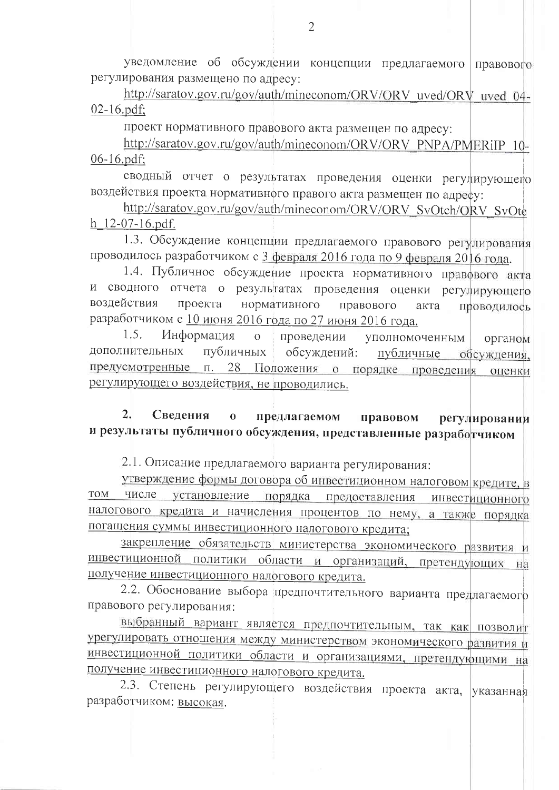уведомление об обсуждении концепции предлагаемого правового регулирования размещено по адресу:

http://saratov.gov.ru/gov/auth/mineconom/ORV/ORV uved/ORV uved 04- $02-16$ , pdf:

проект нормативного правового акта размещен по адресу:

http://saratov.gov.ru/gov/auth/mineconom/ORV/ORV\_PNPA/PMERiIP\_10-06-16.pdf;

сводный отчет о результатах проведения оценки регулирующего воздействия проекта нормативного правого акта размещен по адресу:

http://saratov.gov.ru/gov/auth/mineconom/ORV/ORV SvOtch/ORV SvOtc h 12-07-16.pdf.

1.3. Обсуждение концепции предлагаемого правового регулирования проводилось разработчиком с 3 февраля 2016 года по 9 февраля 2016 года.

1.4. Публичное обсуждение проекта нормативного правового акта и сводного отчета о результатах проведения оценки регулирующего воздействия проекта нормативного правового акта проводилось разработчиком с 10 июня 2016 года по 27 июня 2016 года.

 $1.5.$ Информация  $\Omega$ проведении уполномоченным органом дополнительных публичных обсуждений: публичные обсуждения, 28 Положения о порядке проведения предусмотренные п. оценки регулирующего воздействия, не проводились.

 $2.$ Сведения предлагаемом  $\bf{0}$ правовом регулировании и результаты публичного обсуждения, представленные разработчиком

2.1. Описание предлагаемого варианта регулирования:

утверждение формы договора об инвестиционном налоговом кредите, в том числе установление порядка предоставления инвестиционного налогового кредита и начисления процентов по нему, а также порядка погашения суммы инвестиционного налогового кредита;

закрепление обязательств министерства экономического развития и инвестиционной политики области и организаций, претендующих на получение инвестиционного налогового кредита.

2.2. Обоснование выбора предпочтительного варианта предлагаемого правового регулирования:

выбранный вариант является предпочтительным, так как позволит урегулировать отношения между министерством экономического развития и инвестиционной политики области и организациями, претендующими на получение инвестиционного налогового кредита.

2.3. Степень регулирующего воздействия проекта акта, указанная разработчиком: Высокая.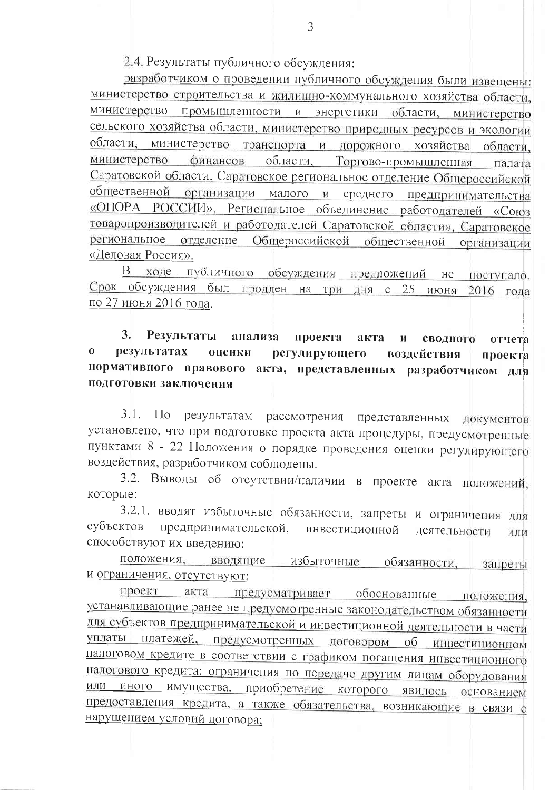2.4. Результаты публичного обсуждения:

разработчиком о проведении публичного обсуждения были извещены: министерство строительства и жилищно-коммунального хозяйства области, министерство промышленности и энергетики области, министерство сельского хозяйства области, министерство природных ресурсов и экологии области, министерство транспорта и дорожного хозяйства области. финансов области, Торгово-промышленная министерство палата Саратовской области, Саратовское региональное отделение Общероссийской общественной организации малого и среднего предпринимательства «ОПОРА РОССИИ», Региональное объединение работодателей «Союз товаропроизводителей и работодателей Саратовской области», Саратовское региональное отделение Общероссийской общественной организации «Деловая Россия».

В ходе публичного обсуждения предложений не поступало. Срок обсуждения был продлен на три дня с 25 июня 2016 года по 27 июня 2016 года.

 $3.$ Результаты анализа проекта акта сводного И отчета  $\mathbf{O}$ результатах оценки регулирующего воздействия проекта нормативного правового акта, представленных разработчиком для подготовки заключения

результатам рассмотрения представленных документов  $3.1.$  $\Pi$ <sub>o</sub> установлено, что при подготовке проекта акта процедуры, предусмотренные пунктами 8 - 22 Положения о порядке проведения оценки регулирующего воздействия, разработчиком соблюдены.

3.2. Выводы об отсутствии/наличии в проекте акта прложений, которые:

3.2.1. вводят избыточные обязанности, запреты и ограничения для предпринимательской, субъектов инвестиционной деятельности или способствуют их введению:

положения, вводящие избыточные обязанности, запреты и ограничения, отсутствуют;

предусматривает обоснованные положения, проект акта устанавливающие ранее не предусмотренные законодательством обязанности для субъектов предпринимательской и инвестиционной деятельности в части уплаты платежей, предусмотренных договором об инвестиционном налоговом кредите в соответствии с графиком погашения инвестиционного налогового кредита; ограничения по передаче другим лицам оборудования или иного имущества, приобретение которого явилось основанием предоставления кредита, а также обязательства, возникающие в связи с нарушением условий договора: